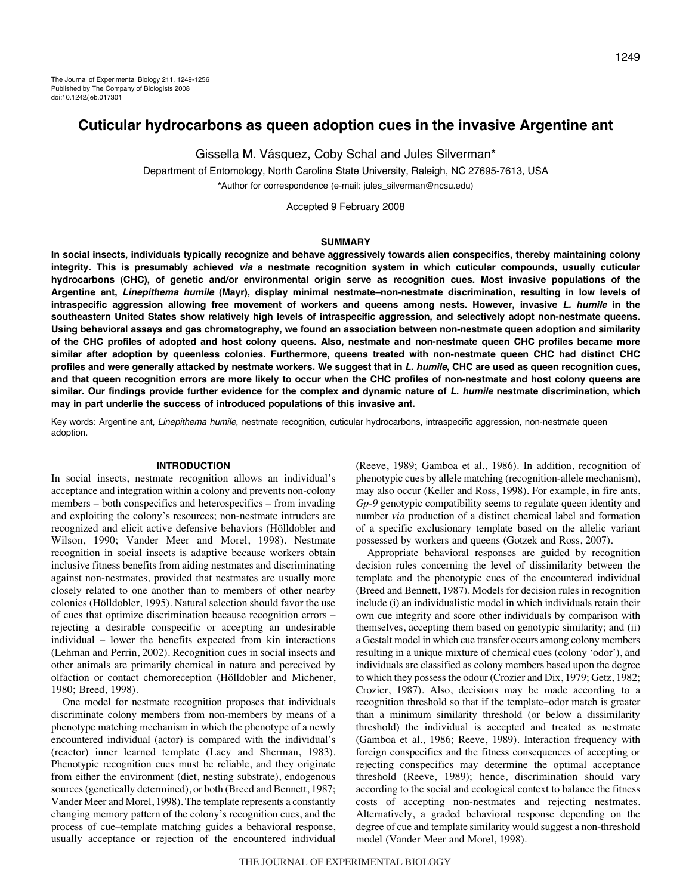# **Cuticular hydrocarbons as queen adoption cues in the invasive Argentine ant**

Gissella M. Vásquez, Coby Schal and Jules Silverman\*

Department of Entomology, North Carolina State University, Raleigh, NC 27695-7613, USA **\***Author for correspondence (e-mail: jules\_silverman@ncsu.edu)

Accepted 9 February 2008

#### **SUMMARY**

**In social insects, individuals typically recognize and behave aggressively towards alien conspecifics, thereby maintaining colony integrity. This is presumably achieved via a nestmate recognition system in which cuticular compounds, usually cuticular hydrocarbons (CHC), of genetic and/or environmental origin serve as recognition cues. Most invasive populations of the Argentine ant, Linepithema humile (Mayr), display minimal nestmate–non-nestmate discrimination, resulting in low levels of intraspecific aggression allowing free movement of workers and queens among nests. However, invasive L. humile in the southeastern United States show relatively high levels of intraspecific aggression, and selectively adopt non-nestmate queens. Using behavioral assays and gas chromatography, we found an association between non-nestmate queen adoption and similarity of the CHC profiles of adopted and host colony queens. Also, nestmate and non-nestmate queen CHC profiles became more similar after adoption by queenless colonies. Furthermore, queens treated with non-nestmate queen CHC had distinct CHC profiles and were generally attacked by nestmate workers. We suggest that in L. humile, CHC are used as queen recognition cues, and that queen recognition errors are more likely to occur when the CHC profiles of non-nestmate and host colony queens are similar. Our findings provide further evidence for the complex and dynamic nature of L. humile nestmate discrimination, which may in part underlie the success of introduced populations of this invasive ant.**

Key words: Argentine ant, Linepithema humile, nestmate recognition, cuticular hydrocarbons, intraspecific aggression, non-nestmate queen adoption.

#### **INTRODUCTION**

In social insects, nestmate recognition allows an individual's acceptance and integration within a colony and prevents non-colony members – both conspecifics and heterospecifics – from invading and exploiting the colony's resources; non-nestmate intruders are recognized and elicit active defensive behaviors (Hölldobler and Wilson, 1990; Vander Meer and Morel, 1998). Nestmate recognition in social insects is adaptive because workers obtain inclusive fitness benefits from aiding nestmates and discriminating against non-nestmates, provided that nestmates are usually more closely related to one another than to members of other nearby colonies (Hölldobler, 1995). Natural selection should favor the use of cues that optimize discrimination because recognition errors – rejecting a desirable conspecific or accepting an undesirable individual – lower the benefits expected from kin interactions (Lehman and Perrin, 2002). Recognition cues in social insects and other animals are primarily chemical in nature and perceived by olfaction or contact chemoreception (Hölldobler and Michener, 1980; Breed, 1998).

One model for nestmate recognition proposes that individuals discriminate colony members from non-members by means of a phenotype matching mechanism in which the phenotype of a newly encountered individual (actor) is compared with the individual's (reactor) inner learned template (Lacy and Sherman, 1983). Phenotypic recognition cues must be reliable, and they originate from either the environment (diet, nesting substrate), endogenous sources (genetically determined), or both (Breed and Bennett, 1987; Vander Meer and Morel, 1998). The template represents a constantly changing memory pattern of the colony's recognition cues, and the process of cue–template matching guides a behavioral response, usually acceptance or rejection of the encountered individual (Reeve, 1989; Gamboa et al., 1986). In addition, recognition of phenotypic cues by allele matching (recognition-allele mechanism), may also occur (Keller and Ross, 1998). For example, in fire ants, *Gp-9* genotypic compatibility seems to regulate queen identity and number *via* production of a distinct chemical label and formation of a specific exclusionary template based on the allelic variant possessed by workers and queens (Gotzek and Ross, 2007).

Appropriate behavioral responses are guided by recognition decision rules concerning the level of dissimilarity between the template and the phenotypic cues of the encountered individual (Breed and Bennett, 1987). Models for decision rules in recognition include (i) an individualistic model in which individuals retain their own cue integrity and score other individuals by comparison with themselves, accepting them based on genotypic similarity; and (ii) a Gestalt model in which cue transfer occurs among colony members resulting in a unique mixture of chemical cues (colony 'odor'), and individuals are classified as colony members based upon the degree to which they possess the odour (Crozier and Dix, 1979; Getz, 1982; Crozier, 1987). Also, decisions may be made according to a recognition threshold so that if the template–odor match is greater than a minimum similarity threshold (or below a dissimilarity threshold) the individual is accepted and treated as nestmate (Gamboa et al., 1986; Reeve, 1989). Interaction frequency with foreign conspecifics and the fitness consequences of accepting or rejecting conspecifics may determine the optimal acceptance threshold (Reeve, 1989); hence, discrimination should vary according to the social and ecological context to balance the fitness costs of accepting non-nestmates and rejecting nestmates. Alternatively, a graded behavioral response depending on the degree of cue and template similarity would suggest a non-threshold model (Vander Meer and Morel, 1998).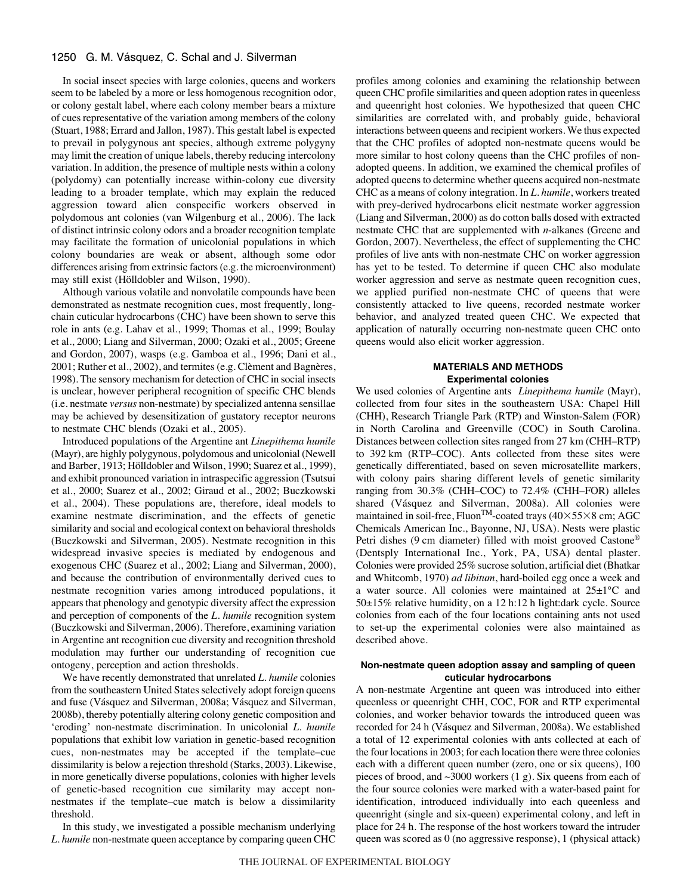#### 1250 G. M. Vásquez, C. Schal and J. Silverman

In social insect species with large colonies, queens and workers seem to be labeled by a more or less homogenous recognition odor, or colony gestalt label, where each colony member bears a mixture of cues representative of the variation among members of the colony (Stuart, 1988; Errard and Jallon, 1987). This gestalt label is expected to prevail in polygynous ant species, although extreme polygyny may limit the creation of unique labels, thereby reducing intercolony variation. In addition, the presence of multiple nests within a colony (polydomy) can potentially increase within-colony cue diversity leading to a broader template, which may explain the reduced aggression toward alien conspecific workers observed in polydomous ant colonies (van Wilgenburg et al., 2006). The lack of distinct intrinsic colony odors and a broader recognition template may facilitate the formation of unicolonial populations in which colony boundaries are weak or absent, although some odor differences arising from extrinsic factors (e.g. the microenvironment) may still exist (Hölldobler and Wilson, 1990).

Although various volatile and nonvolatile compounds have been demonstrated as nestmate recognition cues, most frequently, longchain cuticular hydrocarbons (CHC) have been shown to serve this role in ants (e.g. Lahav et al., 1999; Thomas et al., 1999; Boulay et al., 2000; Liang and Silverman, 2000; Ozaki et al., 2005; Greene and Gordon, 2007), wasps (e.g. Gamboa et al., 1996; Dani et al., 2001; Ruther et al., 2002), and termites (e.g. Clèment and Bagnères, 1998). The sensory mechanism for detection of CHC in social insects is unclear, however peripheral recognition of specific CHC blends (i.e. nestmate *versus* non-nestmate) by specialized antenna sensillae may be achieved by desensitization of gustatory receptor neurons to nestmate CHC blends (Ozaki et al., 2005).

Introduced populations of the Argentine ant *Linepithema humile* (Mayr), are highly polygynous, polydomous and unicolonial (Newell and Barber, 1913; Hölldobler and Wilson, 1990; Suarez et al., 1999), and exhibit pronounced variation in intraspecific aggression (Tsutsui et al., 2000; Suarez et al., 2002; Giraud et al., 2002; Buczkowski et al., 2004). These populations are, therefore, ideal models to examine nestmate discrimination, and the effects of genetic similarity and social and ecological context on behavioral thresholds (Buczkowski and Silverman, 2005). Nestmate recognition in this widespread invasive species is mediated by endogenous and exogenous CHC (Suarez et al., 2002; Liang and Silverman, 2000), and because the contribution of environmentally derived cues to nestmate recognition varies among introduced populations, it appears that phenology and genotypic diversity affect the expression and perception of components of the *L. humile* recognition system (Buczkowski and Silverman, 2006). Therefore, examining variation in Argentine ant recognition cue diversity and recognition threshold modulation may further our understanding of recognition cue ontogeny, perception and action thresholds.

We have recently demonstrated that unrelated *L. humile* colonies from the southeastern United States selectively adopt foreign queens and fuse (Vásquez and Silverman, 2008a; Vásquez and Silverman, 2008b), thereby potentially altering colony genetic composition and 'eroding' non-nestmate discrimination. In unicolonial *L. humile* populations that exhibit low variation in genetic-based recognition cues, non-nestmates may be accepted if the template–cue dissimilarity is below a rejection threshold (Starks, 2003). Likewise, in more genetically diverse populations, colonies with higher levels of genetic-based recognition cue similarity may accept nonnestmates if the template–cue match is below a dissimilarity threshold.

In this study, we investigated a possible mechanism underlying *L. humile* non-nestmate queen acceptance by comparing queen CHC profiles among colonies and examining the relationship between queen CHC profile similarities and queen adoption rates in queenless and queenright host colonies. We hypothesized that queen CHC similarities are correlated with, and probably guide, behavioral interactions between queens and recipient workers. We thus expected that the CHC profiles of adopted non-nestmate queens would be more similar to host colony queens than the CHC profiles of nonadopted queens. In addition, we examined the chemical profiles of adopted queens to determine whether queens acquired non-nestmate CHC as a means of colony integration. In *L. humile*, workers treated with prey-derived hydrocarbons elicit nestmate worker aggression (Liang and Silverman, 2000) as do cotton balls dosed with extracted nestmate CHC that are supplemented with *n*-alkanes (Greene and Gordon, 2007). Nevertheless, the effect of supplementing the CHC profiles of live ants with non-nestmate CHC on worker aggression has yet to be tested. To determine if queen CHC also modulate worker aggression and serve as nestmate queen recognition cues, we applied purified non-nestmate CHC of queens that were consistently attacked to live queens, recorded nestmate worker behavior, and analyzed treated queen CHC. We expected that application of naturally occurring non-nestmate queen CHC onto queens would also elicit worker aggression.

### **MATERIALS AND METHODS Experimental colonies**

We used colonies of Argentine ants *Linepithema humile* (Mayr), collected from four sites in the southeastern USA: Chapel Hill (CHH), Research Triangle Park (RTP) and Winston-Salem (FOR) in North Carolina and Greenville (COC) in South Carolina. Distances between collection sites ranged from 27 km (CHH–RTP) to 392 km (RTP–COC). Ants collected from these sites were genetically differentiated, based on seven microsatellite markers, with colony pairs sharing different levels of genetic similarity ranging from 30.3% (CHH–COC) to 72.4% (CHH–FOR) alleles shared (Vásquez and Silverman, 2008a). All colonies were maintained in soil-free, Fluon<sup>TM</sup>-coated trays ( $40\times55\times8$  cm; AGC Chemicals American Inc., Bayonne, NJ, USA). Nests were plastic Petri dishes (9 cm diameter) filled with moist grooved Castone® (Dentsply International Inc., York, PA, USA) dental plaster. Colonies were provided 25% sucrose solution, artificial diet (Bhatkar and Whitcomb, 1970) *ad libitum*, hard-boiled egg once a week and a water source. All colonies were maintained at 25±1°C and 50±15% relative humidity, on a 12 h:12 h light:dark cycle. Source colonies from each of the four locations containing ants not used to set-up the experimental colonies were also maintained as described above.

## **Non-nestmate queen adoption assay and sampling of queen cuticular hydrocarbons**

A non-nestmate Argentine ant queen was introduced into either queenless or queenright CHH, COC, FOR and RTP experimental colonies, and worker behavior towards the introduced queen was recorded for 24 h (Vásquez and Silverman, 2008a). We established a total of 12 experimental colonies with ants collected at each of the four locations in 2003; for each location there were three colonies each with a different queen number (zero, one or six queens), 100 pieces of brood, and  $\sim$ 3000 workers (1 g). Six queens from each of the four source colonies were marked with a water-based paint for identification, introduced individually into each queenless and queenright (single and six-queen) experimental colony, and left in place for 24 h. The response of the host workers toward the intruder queen was scored as 0 (no aggressive response), 1 (physical attack)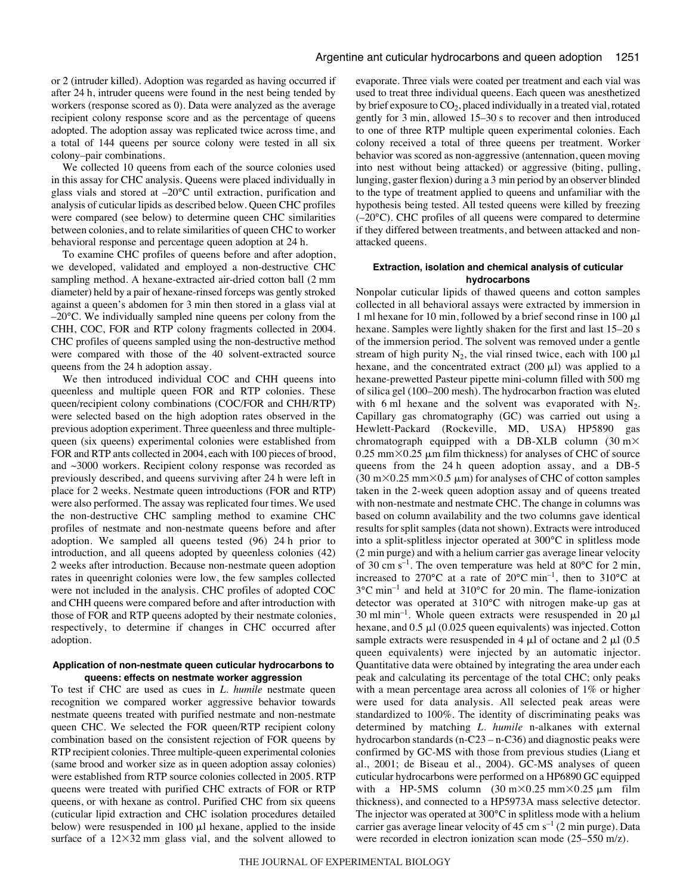or 2 (intruder killed). Adoption was regarded as having occurred if after 24 h, intruder queens were found in the nest being tended by workers (response scored as 0). Data were analyzed as the average recipient colony response score and as the percentage of queens adopted. The adoption assay was replicated twice across time, and a total of 144 queens per source colony were tested in all six colony–pair combinations.

We collected 10 queens from each of the source colonies used in this assay for CHC analysis. Queens were placed individually in glass vials and stored at –20°C until extraction, purification and analysis of cuticular lipids as described below. Queen CHC profiles were compared (see below) to determine queen CHC similarities between colonies, and to relate similarities of queen CHC to worker behavioral response and percentage queen adoption at 24 h.

To examine CHC profiles of queens before and after adoption, we developed, validated and employed a non-destructive CHC sampling method. A hexane-extracted air-dried cotton ball (2 mm diameter) held by a pair of hexane-rinsed forceps was gently stroked against a queen's abdomen for 3 min then stored in a glass vial at –20°C. We individually sampled nine queens per colony from the CHH, COC, FOR and RTP colony fragments collected in 2004. CHC profiles of queens sampled using the non-destructive method were compared with those of the 40 solvent-extracted source queens from the 24 h adoption assay.

We then introduced individual COC and CHH queens into queenless and multiple queen FOR and RTP colonies. These queen/recipient colony combinations (COC/FOR and CHH/RTP) were selected based on the high adoption rates observed in the previous adoption experiment. Three queenless and three multiplequeen (six queens) experimental colonies were established from FOR and RTP ants collected in 2004, each with 100 pieces of brood, and ~3000 workers. Recipient colony response was recorded as previously described, and queens surviving after 24 h were left in place for 2 weeks. Nestmate queen introductions (FOR and RTP) were also performed. The assay was replicated four times. We used the non-destructive CHC sampling method to examine CHC profiles of nestmate and non-nestmate queens before and after adoption. We sampled all queens tested  $(96)$  24 h prior to introduction, and all queens adopted by queenless colonies (42) 2 weeks after introduction. Because non-nestmate queen adoption rates in queenright colonies were low, the few samples collected were not included in the analysis. CHC profiles of adopted COC and CHH queens were compared before and after introduction with those of FOR and RTP queens adopted by their nestmate colonies, respectively, to determine if changes in CHC occurred after adoption.

## **Application of non-nestmate queen cuticular hydrocarbons to queens: effects on nestmate worker aggression**

To test if CHC are used as cues in *L. humile* nestmate queen recognition we compared worker aggressive behavior towards nestmate queens treated with purified nestmate and non-nestmate queen CHC. We selected the FOR queen/RTP recipient colony combination based on the consistent rejection of FOR queens by RTP recipient colonies. Three multiple-queen experimental colonies (same brood and worker size as in queen adoption assay colonies) were established from RTP source colonies collected in 2005. RTP queens were treated with purified CHC extracts of FOR or RTP queens, or with hexane as control. Purified CHC from six queens (cuticular lipid extraction and CHC isolation procedures detailed below) were resuspended in  $100 \mu l$  hexane, applied to the inside surface of a  $12\times32$  mm glass vial, and the solvent allowed to evaporate. Three vials were coated per treatment and each vial was used to treat three individual queens. Each queen was anesthetized by brief exposure to  $CO<sub>2</sub>$ , placed individually in a treated vial, rotated gently for 3 min, allowed 15–30 s to recover and then introduced to one of three RTP multiple queen experimental colonies. Each colony received a total of three queens per treatment. Worker behavior was scored as non-aggressive (antennation, queen moving into nest without being attacked) or aggressive (biting, pulling, lunging, gaster flexion) during a 3 min period by an observer blinded to the type of treatment applied to queens and unfamiliar with the hypothesis being tested. All tested queens were killed by freezing (–20°C). CHC profiles of all queens were compared to determine if they differed between treatments, and between attacked and nonattacked queens.

## **Extraction, isolation and chemical analysis of cuticular hydrocarbons**

Nonpolar cuticular lipids of thawed queens and cotton samples collected in all behavioral assays were extracted by immersion in 1 ml hexane for 10 min, followed by a brief second rinse in 100  $\mu$ l hexane. Samples were lightly shaken for the first and last 15–20 s of the immersion period. The solvent was removed under a gentle stream of high purity  $N_2$ , the vial rinsed twice, each with 100  $\mu$ l hexane, and the concentrated extract  $(200 \mu l)$  was applied to a hexane-prewetted Pasteur pipette mini-column filled with 500 mg of silica gel (100–200 mesh). The hydrocarbon fraction was eluted with 6 ml hexane and the solvent was evaporated with  $N_2$ . Capillary gas chromatography (GC) was carried out using a Hewlett-Packard (Rockeville, MD, USA) HP5890 gas chromatograph equipped with a DB-XLB column (30 m $\times$  $0.25~\text{mm} \times 0.25~\text{\mu m}$  film thickness) for analyses of CHC of source queens from the 24 h queen adoption assay, and a DB-5 (30 m $\times$ 0.25 mm $\times$ 0.5  $\mu$ m) for analyses of CHC of cotton samples taken in the 2-week queen adoption assay and of queens treated with non-nestmate and nestmate CHC. The change in columns was based on column availability and the two columns gave identical results for split samples (data not shown). Extracts were introduced into a split-splitless injector operated at 300°C in splitless mode (2 min purge) and with a helium carrier gas average linear velocity of 30 cm s<sup>-1</sup>. The oven temperature was held at 80 $^{\circ}$ C for 2 min, increased to 270°C at a rate of 20°C min<sup>-1</sup>, then to 310°C at  $3^{\circ}$ C min<sup>-1</sup> and held at 310°C for 20 min. The flame-ionization detector was operated at 310°C with nitrogen make-up gas at 30 ml min<sup>-1</sup>. Whole queen extracts were resuspended in 20  $\mu$ l hexane, and  $0.5 \mu$ l (0.025 queen equivalents) was injected. Cotton sample extracts were resuspended in 4  $\mu$ l of octane and 2  $\mu$ l (0.5) queen equivalents) were injected by an automatic injector. Quantitative data were obtained by integrating the area under each peak and calculating its percentage of the total CHC; only peaks with a mean percentage area across all colonies of 1% or higher were used for data analysis. All selected peak areas were standardized to 100%. The identity of discriminating peaks was determined by matching *L. humile* n-alkanes with external hydrocarbon standards (n-C23 – n-C36) and diagnostic peaks were confirmed by GC-MS with those from previous studies (Liang et al., 2001; de Biseau et al., 2004). GC-MS analyses of queen cuticular hydrocarbons were performed on a HP6890 GC equipped with a HP-5MS column  $(30 \text{ m} \times 0.25 \text{ mm} \times 0.25 \text{ mm}$  film thickness), and connected to a HP5973A mass selective detector. The injector was operated at 300°C in splitless mode with a helium carrier gas average linear velocity of 45 cm  $s^{-1}$  (2 min purge). Data were recorded in electron ionization scan mode  $(25-550 \text{ m/z})$ .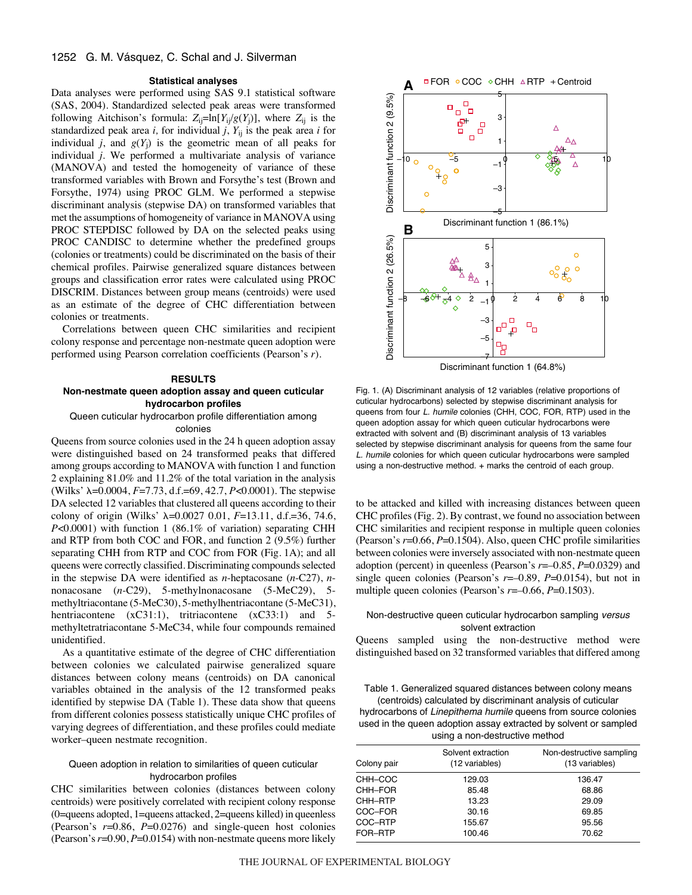#### 1252 G. M. Vásquez, C. Schal and J. Silverman

#### **Statistical analyses**

Data analyses were performed using SAS 9.1 statistical software (SAS, 2004). Standardized selected peak areas were transformed following Aitchison's formula:  $Z_{ij}$ =ln[*Y*<sub>i</sub>/*g*(*Y*<sub>j</sub>)], where  $Z_{ij}$  is the standardized peak area  $i$ , for individual  $j$ ,  $Y_{ij}$  is the peak area  $i$  for individual *j*, and  $g(Y_i)$  is the geometric mean of all peaks for individual *j*. We performed a multivariate analysis of variance (MANOVA) and tested the homogeneity of variance of these transformed variables with Brown and Forsythe's test (Brown and Forsythe, 1974) using PROC GLM. We performed a stepwise discriminant analysis (stepwise DA) on transformed variables that met the assumptions of homogeneity of variance in MANOVA using PROC STEPDISC followed by DA on the selected peaks using PROC CANDISC to determine whether the predefined groups (colonies or treatments) could be discriminated on the basis of their chemical profiles. Pairwise generalized square distances between groups and classification error rates were calculated using PROC DISCRIM. Distances between group means (centroids) were used as an estimate of the degree of CHC differentiation between colonies or treatments.

Correlations between queen CHC similarities and recipient colony response and percentage non-nestmate queen adoption were performed using Pearson correlation coefficients (Pearson's *r*).

#### **RESULTS**

## **Non-nestmate queen adoption assay and queen cuticular hydrocarbon profiles**

Queen cuticular hydrocarbon profile differentiation among colonies

Queens from source colonies used in the 24 h queen adoption assay were distinguished based on 24 transformed peaks that differed among groups according to MANOVA with function 1 and function 2 explaining 81.0% and 11.2% of the total variation in the analysis (Wilks' λ=0.0004, *F*=7.73, d.f.=69, 42.7, *P*<0.0001). The stepwise DA selected 12 variables that clustered all queens according to their colony of origin (Wilks'  $\lambda$ =0.0027 0.01, *F*=13.11, d.f.=36, 74.6, *P*<0.0001) with function 1 (86.1% of variation) separating CHH and RTP from both COC and FOR, and function 2 (9.5%) further separating CHH from RTP and COC from FOR (Fig. 1A); and all queens were correctly classified. Discriminating compounds selected in the stepwise DA were identified as *n*-heptacosane (*n*-C27), *n*nonacosane (*n*-C29), 5-methylnonacosane (5-MeC29), 5 methyltriacontane (5-MeC30), 5-methylhentriacontane (5-MeC31), hentriacontene (xC31:1), tritriacontene (xC33:1) and 5methyltetratriacontane 5-MeC34, while four compounds remained unidentified.

As a quantitative estimate of the degree of CHC differentiation between colonies we calculated pairwise generalized square distances between colony means (centroids) on DA canonical variables obtained in the analysis of the 12 transformed peaks identified by stepwise DA (Table 1). These data show that queens from different colonies possess statistically unique CHC profiles of varying degrees of differentiation, and these profiles could mediate worker–queen nestmate recognition.

## Queen adoption in relation to similarities of queen cuticular hydrocarbon profiles

CHC similarities between colonies (distances between colony centroids) were positively correlated with recipient colony response (0=queens adopted, 1=queens attacked, 2=queens killed) in queenless (Pearson's *r*=0.86, *P*=0.0276) and single-queen host colonies (Pearson's *r*=0.90, *P*=0.0154) with non-nestmate queens more likely



Fig. 1. (A) Discriminant analysis of 12 variables (relative proportions of cuticular hydrocarbons) selected by stepwise discriminant analysis for queens from four L. humile colonies (CHH, COC, FOR, RTP) used in the queen adoption assay for which queen cuticular hydrocarbons were extracted with solvent and (B) discriminant analysis of 13 variables selected by stepwise discriminant analysis for queens from the same four L. humile colonies for which queen cuticular hydrocarbons were sampled using a non-destructive method. + marks the centroid of each group.

to be attacked and killed with increasing distances between queen CHC profiles (Fig. 2). By contrast, we found no association between CHC similarities and recipient response in multiple queen colonies (Pearson's *r*=0.66, *P*=0.1504). Also, queen CHC profile similarities between colonies were inversely associated with non-nestmate queen adoption (percent) in queenless (Pearson's *r*=–0.85, *P*=0.0329) and single queen colonies (Pearson's *r*=–0.89, *P*=0.0154), but not in multiple queen colonies (Pearson's  $r=-0.66$ ,  $P=0.1503$ ).

## Non-destructive queen cuticular hydrocarbon sampling versus solvent extraction

Queens sampled using the non-destructive method were distinguished based on 32 transformed variables that differed among

Table 1. Generalized squared distances between colony means (centroids) calculated by discriminant analysis of cuticular hydrocarbons of Linepithema humile queens from source colonies used in the queen adoption assay extracted by solvent or sampled using a non-destructive method

| Colony pair | Solvent extraction<br>(12 variables) | Non-destructive sampling<br>(13 variables) |
|-------------|--------------------------------------|--------------------------------------------|
| CHH-COC     | 129.03                               | 136.47                                     |
| CHH-FOR     | 85.48                                | 68.86                                      |
| CHH-RTP     | 13.23                                | 29.09                                      |
| COC–FOR     | 30.16                                | 69.85                                      |
| COC–RTP     | 155.67                               | 95.56                                      |
| FOR-RTP     | 100.46                               | 70.62                                      |
|             |                                      |                                            |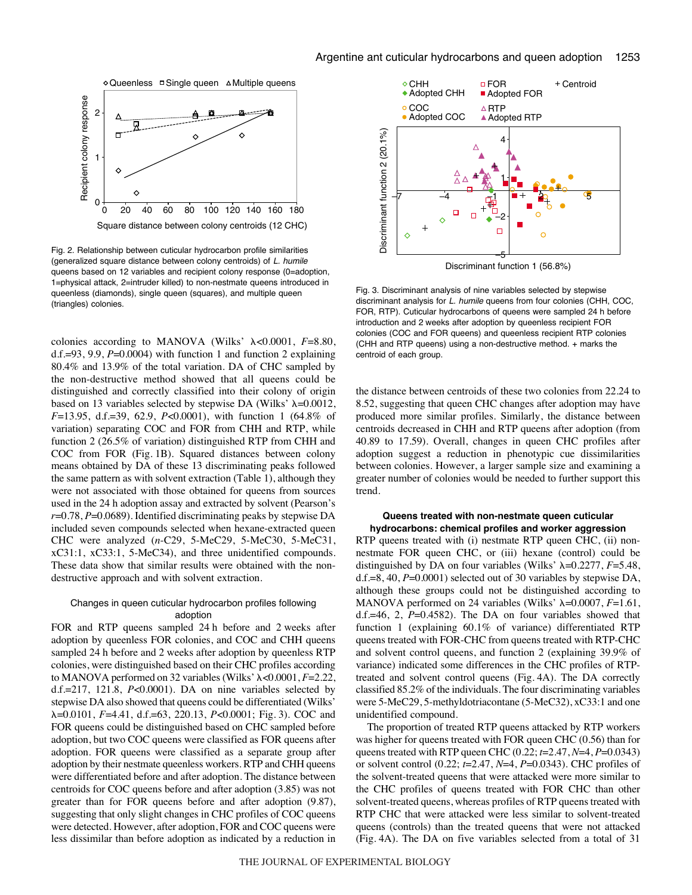

Fig. 2. Relationship between cuticular hydrocarbon profile similarities (generalized square distance between colony centroids) of L. humile queens based on 12 variables and recipient colony response (0=adoption, 1=physical attack, 2=intruder killed) to non-nestmate queens introduced in queenless (diamonds), single queen (squares), and multiple queen (triangles) colonies.

colonies according to MANOVA (Wilks'  $\lambda$ <0.0001,  $F=8.80$ , d.f.=93, 9.9, *P*=0.0004) with function 1 and function 2 explaining 80.4% and 13.9% of the total variation. DA of CHC sampled by the non-destructive method showed that all queens could be distinguished and correctly classified into their colony of origin based on 13 variables selected by stepwise DA (Wilks'  $\lambda$ =0.0012, *F*=13.95, d.f.=39, 62.9, *P*<0.0001), with function 1 (64.8% of variation) separating COC and FOR from CHH and RTP, while function 2 (26.5% of variation) distinguished RTP from CHH and COC from FOR (Fig. 1B). Squared distances between colony means obtained by DA of these 13 discriminating peaks followed the same pattern as with solvent extraction (Table 1), although they were not associated with those obtained for queens from sources used in the 24 h adoption assay and extracted by solvent (Pearson's *r*=0.78, *P*=0.0689). Identified discriminating peaks by stepwise DA included seven compounds selected when hexane-extracted queen CHC were analyzed (*n*-C29, 5-MeC29, 5-MeC30, 5-MeC31, xC31:1, xC33:1, 5-MeC34), and three unidentified compounds. These data show that similar results were obtained with the nondestructive approach and with solvent extraction.

## Changes in queen cuticular hydrocarbon profiles following adoption

FOR and RTP queens sampled 24 h before and 2 weeks after adoption by queenless FOR colonies, and COC and CHH queens sampled 24 h before and 2 weeks after adoption by queenless RTP colonies, were distinguished based on their CHC profiles according to MANOVA performed on 32 variables (Wilks' <0.0001, *F*=2.22, d.f.=217, 121.8, *P*<0.0001). DA on nine variables selected by stepwise DA also showed that queens could be differentiated (Wilks'  $\lambda$ =0.0101, *F*=4.41, d.f.=63, 220.13, *P*<0.0001; Fig. 3). COC and FOR queens could be distinguished based on CHC sampled before adoption, but two COC queens were classified as FOR queens after adoption. FOR queens were classified as a separate group after adoption by their nestmate queenless workers. RTP and CHH queens were differentiated before and after adoption. The distance between centroids for COC queens before and after adoption (3.85) was not greater than for FOR queens before and after adoption (9.87), suggesting that only slight changes in CHC profiles of COC queens were detected. However, after adoption, FOR and COC queens were less dissimilar than before adoption as indicated by a reduction in



Fig. 3. Discriminant analysis of nine variables selected by stepwise discriminant analysis for L. humile queens from four colonies (CHH, COC, FOR, RTP). Cuticular hydrocarbons of queens were sampled 24 h before introduction and 2 weeks after adoption by queenless recipient FOR colonies (COC and FOR queens) and queenless recipient RTP colonies (CHH and RTP queens) using a non-destructive method. + marks the centroid of each group.

the distance between centroids of these two colonies from 22.24 to 8.52, suggesting that queen CHC changes after adoption may have produced more similar profiles. Similarly, the distance between centroids decreased in CHH and RTP queens after adoption (from 40.89 to 17.59). Overall, changes in queen CHC profiles after adoption suggest a reduction in phenotypic cue dissimilarities between colonies. However, a larger sample size and examining a greater number of colonies would be needed to further support this trend.

### **Queens treated with non-nestmate queen cuticular hydrocarbons: chemical profiles and worker aggression**

RTP queens treated with (i) nestmate RTP queen CHC, (ii) nonnestmate FOR queen CHC, or (iii) hexane (control) could be distinguished by DA on four variables (Wilks'  $\lambda$ =0.2277, *F*=5.48, d.f.=8, 40, *P*=0.0001) selected out of 30 variables by stepwise DA, although these groups could not be distinguished according to MANOVA performed on 24 variables (Wilks'  $\lambda$ =0.0007,  $F$ =1.61, d.f.=46, 2, *P*=0.4582). The DA on four variables showed that function 1 (explaining 60.1% of variance) differentiated RTP queens treated with FOR-CHC from queens treated with RTP-CHC and solvent control queens, and function 2 (explaining 39.9% of variance) indicated some differences in the CHC profiles of RTPtreated and solvent control queens (Fig. 4A). The DA correctly classified 85.2% of the individuals. The four discriminating variables were 5-MeC29, 5-methyldotriacontane (5-MeC32), xC33:1 and one unidentified compound.

The proportion of treated RTP queens attacked by RTP workers was higher for queens treated with FOR queen CHC (0.56) than for queens treated with RTP queen CHC (0.22; *t*=2.47, *N*=4, *P*=0.0343) or solvent control (0.22; *t*=2.47, *N*=4, *P*=0.0343). CHC profiles of the solvent-treated queens that were attacked were more similar to the CHC profiles of queens treated with FOR CHC than other solvent-treated queens, whereas profiles of RTP queens treated with RTP CHC that were attacked were less similar to solvent-treated queens (controls) than the treated queens that were not attacked (Fig. 4A). The DA on five variables selected from a total of 31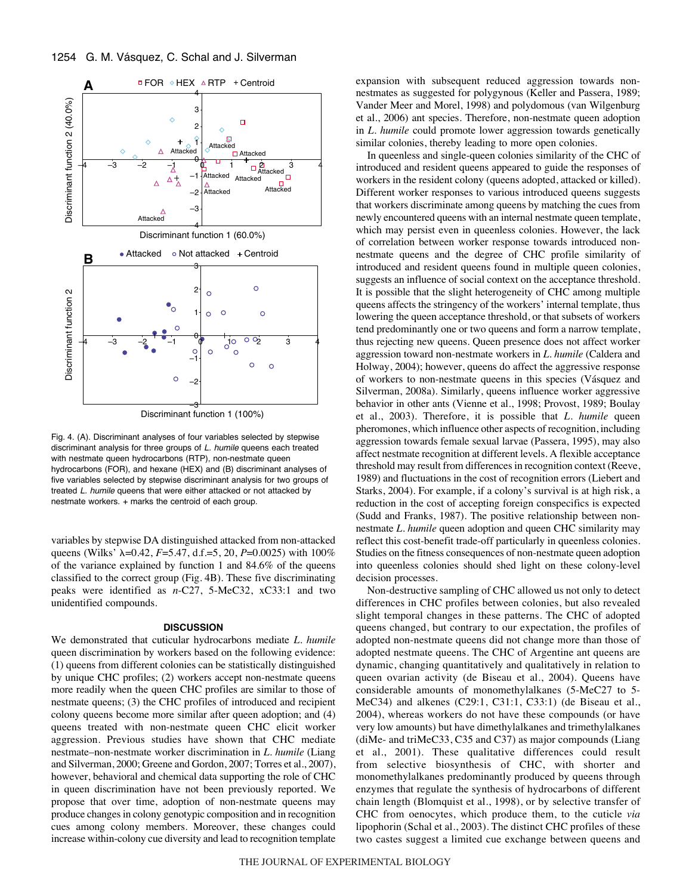

Discriminant function 1 (100%)

Fig. 4. (A). Discriminant analyses of four variables selected by stepwise discriminant analysis for three groups of L. humile queens each treated with nestmate queen hydrocarbons (RTP), non-nestmate queen hydrocarbons (FOR), and hexane (HEX) and (B) discriminant analyses of five variables selected by stepwise discriminant analysis for two groups of treated L. humile queens that were either attacked or not attacked by nestmate workers. + marks the centroid of each group.

variables by stepwise DA distinguished attacked from non-attacked queens (Wilks' λ=0.42, *F*=5.47, d.f.=5, 20, *P*=0.0025) with 100% of the variance explained by function 1 and 84.6% of the queens classified to the correct group (Fig. 4B). These five discriminating peaks were identified as *n*-C27, 5-MeC32, xC33:1 and two unidentified compounds.

#### **DISCUSSION**

We demonstrated that cuticular hydrocarbons mediate *L. humile* queen discrimination by workers based on the following evidence: (1) queens from different colonies can be statistically distinguished by unique CHC profiles; (2) workers accept non-nestmate queens more readily when the queen CHC profiles are similar to those of nestmate queens; (3) the CHC profiles of introduced and recipient colony queens become more similar after queen adoption; and (4) queens treated with non-nestmate queen CHC elicit worker aggression. Previous studies have shown that CHC mediate nestmate–non-nestmate worker discrimination in *L. humile* (Liang and Silverman, 2000; Greene and Gordon, 2007; Torres et al., 2007), however, behavioral and chemical data supporting the role of CHC in queen discrimination have not been previously reported. We propose that over time, adoption of non-nestmate queens may produce changes in colony genotypic composition and in recognition cues among colony members. Moreover, these changes could increase within-colony cue diversity and lead to recognition template

expansion with subsequent reduced aggression towards nonnestmates as suggested for polygynous (Keller and Passera, 1989; Vander Meer and Morel, 1998) and polydomous (van Wilgenburg et al., 2006) ant species. Therefore, non-nestmate queen adoption in *L. humile* could promote lower aggression towards genetically similar colonies, thereby leading to more open colonies.

In queenless and single-queen colonies similarity of the CHC of introduced and resident queens appeared to guide the responses of workers in the resident colony (queens adopted, attacked or killed). Different worker responses to various introduced queens suggests that workers discriminate among queens by matching the cues from newly encountered queens with an internal nestmate queen template, which may persist even in queenless colonies. However, the lack of correlation between worker response towards introduced nonnestmate queens and the degree of CHC profile similarity of introduced and resident queens found in multiple queen colonies, suggests an influence of social context on the acceptance threshold. It is possible that the slight heterogeneity of CHC among multiple queens affects the stringency of the workers' internal template, thus lowering the queen acceptance threshold, or that subsets of workers tend predominantly one or two queens and form a narrow template, thus rejecting new queens. Queen presence does not affect worker aggression toward non-nestmate workers in *L. humile* (Caldera and Holway, 2004); however, queens do affect the aggressive response of workers to non-nestmate queens in this species (Vásquez and Silverman, 2008a). Similarly, queens influence worker aggressive behavior in other ants (Vienne et al., 1998; Provost, 1989; Boulay et al., 2003). Therefore, it is possible that *L. humile* queen pheromones, which influence other aspects of recognition, including aggression towards female sexual larvae (Passera, 1995), may also affect nestmate recognition at different levels. A flexible acceptance threshold may result from differences in recognition context (Reeve, 1989) and fluctuations in the cost of recognition errors (Liebert and Starks, 2004). For example, if a colony's survival is at high risk, a reduction in the cost of accepting foreign conspecifics is expected (Sudd and Franks, 1987). The positive relationship between nonnestmate *L. humile* queen adoption and queen CHC similarity may reflect this cost-benefit trade-off particularly in queenless colonies. Studies on the fitness consequences of non-nestmate queen adoption into queenless colonies should shed light on these colony-level decision processes.

Non-destructive sampling of CHC allowed us not only to detect differences in CHC profiles between colonies, but also revealed slight temporal changes in these patterns. The CHC of adopted queens changed, but contrary to our expectation, the profiles of adopted non-nestmate queens did not change more than those of adopted nestmate queens. The CHC of Argentine ant queens are dynamic, changing quantitatively and qualitatively in relation to queen ovarian activity (de Biseau et al., 2004). Queens have considerable amounts of monomethylalkanes (5-MeC27 to 5- MeC34) and alkenes (C29:1, C31:1, C33:1) (de Biseau et al., 2004), whereas workers do not have these compounds (or have very low amounts) but have dimethylalkanes and trimethylalkanes (diMe- and triMeC33, C35 and C37) as major compounds (Liang et al., 2001). These qualitative differences could result from selective biosynthesis of CHC, with shorter and monomethylalkanes predominantly produced by queens through enzymes that regulate the synthesis of hydrocarbons of different chain length (Blomquist et al., 1998), or by selective transfer of CHC from oenocytes, which produce them, to the cuticle *via* lipophorin (Schal et al., 2003). The distinct CHC profiles of these two castes suggest a limited cue exchange between queens and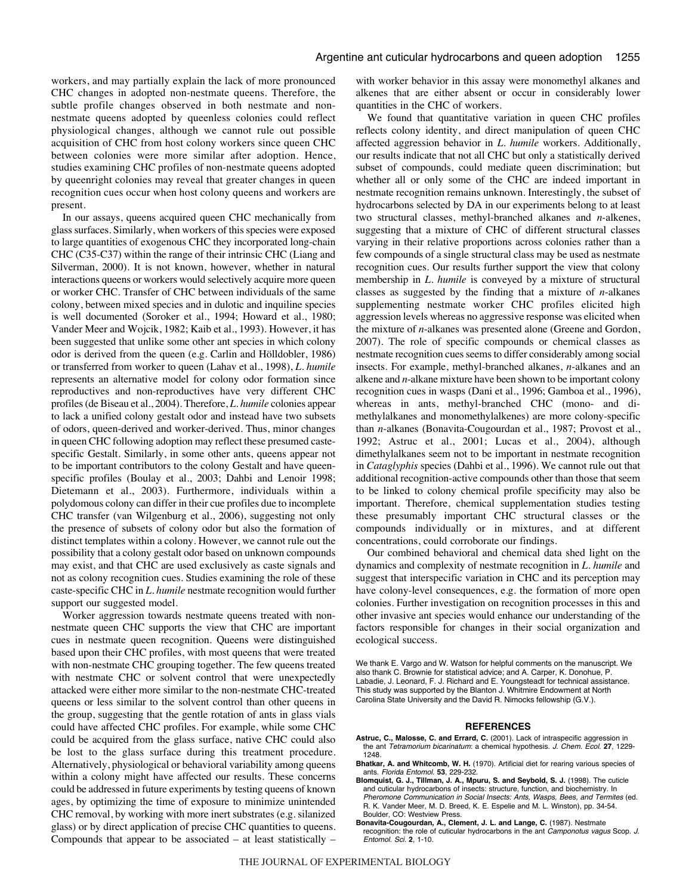workers, and may partially explain the lack of more pronounced CHC changes in adopted non-nestmate queens. Therefore, the subtle profile changes observed in both nestmate and nonnestmate queens adopted by queenless colonies could reflect physiological changes, although we cannot rule out possible acquisition of CHC from host colony workers since queen CHC between colonies were more similar after adoption. Hence, studies examining CHC profiles of non-nestmate queens adopted by queenright colonies may reveal that greater changes in queen recognition cues occur when host colony queens and workers are present.

In our assays, queens acquired queen CHC mechanically from glass surfaces. Similarly, when workers of this species were exposed to large quantities of exogenous CHC they incorporated long-chain CHC (C35-C37) within the range of their intrinsic CHC (Liang and Silverman, 2000). It is not known, however, whether in natural interactions queens or workers would selectively acquire more queen or worker CHC. Transfer of CHC between individuals of the same colony, between mixed species and in dulotic and inquiline species is well documented (Soroker et al., 1994; Howard et al., 1980; Vander Meer and Wojcik, 1982; Kaib et al., 1993). However, it has been suggested that unlike some other ant species in which colony odor is derived from the queen (e.g. Carlin and Hölldobler, 1986) or transferred from worker to queen (Lahav et al., 1998), *L. humile* represents an alternative model for colony odor formation since reproductives and non-reproductives have very different CHC profiles (de Biseau et al., 2004). Therefore, *L. humile* colonies appear to lack a unified colony gestalt odor and instead have two subsets of odors, queen-derived and worker-derived. Thus, minor changes in queen CHC following adoption may reflect these presumed castespecific Gestalt. Similarly, in some other ants, queens appear not to be important contributors to the colony Gestalt and have queenspecific profiles (Boulay et al., 2003; Dahbi and Lenoir 1998; Dietemann et al., 2003). Furthermore, individuals within a polydomous colony can differ in their cue profiles due to incomplete CHC transfer (van Wilgenburg et al., 2006), suggesting not only the presence of subsets of colony odor but also the formation of distinct templates within a colony. However, we cannot rule out the possibility that a colony gestalt odor based on unknown compounds may exist, and that CHC are used exclusively as caste signals and not as colony recognition cues. Studies examining the role of these caste-specific CHC in *L. humile* nestmate recognition would further support our suggested model.

Worker aggression towards nestmate queens treated with nonnestmate queen CHC supports the view that CHC are important cues in nestmate queen recognition. Queens were distinguished based upon their CHC profiles, with most queens that were treated with non-nestmate CHC grouping together. The few queens treated with nestmate CHC or solvent control that were unexpectedly attacked were either more similar to the non-nestmate CHC-treated queens or less similar to the solvent control than other queens in the group, suggesting that the gentle rotation of ants in glass vials could have affected CHC profiles. For example, while some CHC could be acquired from the glass surface, native CHC could also be lost to the glass surface during this treatment procedure. Alternatively, physiological or behavioral variability among queens within a colony might have affected our results. These concerns could be addressed in future experiments by testing queens of known ages, by optimizing the time of exposure to minimize unintended CHC removal, by working with more inert substrates (e.g. silanized glass) or by direct application of precise CHC quantities to queens. Compounds that appear to be associated – at least statistically – with worker behavior in this assay were monomethyl alkanes and alkenes that are either absent or occur in considerably lower quantities in the CHC of workers.

We found that quantitative variation in queen CHC profiles reflects colony identity, and direct manipulation of queen CHC affected aggression behavior in *L. humile* workers. Additionally, our results indicate that not all CHC but only a statistically derived subset of compounds, could mediate queen discrimination; but whether all or only some of the CHC are indeed important in nestmate recognition remains unknown. Interestingly, the subset of hydrocarbons selected by DA in our experiments belong to at least two structural classes, methyl-branched alkanes and *n*-alkenes, suggesting that a mixture of CHC of different structural classes varying in their relative proportions across colonies rather than a few compounds of a single structural class may be used as nestmate recognition cues. Our results further support the view that colony membership in *L. humile* is conveyed by a mixture of structural classes as suggested by the finding that a mixture of *n*-alkanes supplementing nestmate worker CHC profiles elicited high aggression levels whereas no aggressive response was elicited when the mixture of *n*-alkanes was presented alone (Greene and Gordon, 2007). The role of specific compounds or chemical classes as nestmate recognition cues seems to differ considerably among social insects. For example, methyl-branched alkanes, *n*-alkanes and an alkene and *n*-alkane mixture have been shown to be important colony recognition cues in wasps (Dani et al., 1996; Gamboa et al., 1996), whereas in ants, methyl-branched CHC (mono- and dimethylalkanes and monomethylalkenes) are more colony-specific than *n*-alkanes (Bonavita-Cougourdan et al., 1987; Provost et al., 1992; Astruc et al., 2001; Lucas et al., 2004), although dimethylalkanes seem not to be important in nestmate recognition in *Cataglyphis* species (Dahbi et al., 1996). We cannot rule out that additional recognition-active compounds other than those that seem to be linked to colony chemical profile specificity may also be important. Therefore, chemical supplementation studies testing these presumably important CHC structural classes or the compounds individually or in mixtures, and at different concentrations, could corroborate our findings.

Our combined behavioral and chemical data shed light on the dynamics and complexity of nestmate recognition in *L. humile* and suggest that interspecific variation in CHC and its perception may have colony-level consequences, e.g. the formation of more open colonies. Further investigation on recognition processes in this and other invasive ant species would enhance our understanding of the factors responsible for changes in their social organization and ecological success.

We thank E. Vargo and W. Watson for helpful comments on the manuscript. We also thank C. Brownie for statistical advice; and A. Carper, K. Donohue, P. Labadie, J. Leonard, F. J. Richard and E. Youngsteadt for technical assistance. This study was supported by the Blanton J. Whitmire Endowment at North Carolina State University and the David R. Nimocks fellowship (G.V.).

#### **REFERENCES**

- **Astruc, C., Malosse, C. and Errard, C.** (2001). Lack of intraspecific aggression in the ant Tetramorium bicarinatum: a chemical hypothesis. J. Chem. Ecol. **27**, 1229- 1248.
- **Bhatkar, A. and Whitcomb, W. H.** (1970). Artificial diet for rearing various species of ants. Florida Entomol. **53**, 229-232.
- **Blomquist, G. J., Tillman, J. A., Mpuru, S. and Seybold, S. J.** (1998). The cuticle and cuticular hydrocarbons of insects: structure, function, and biochemistry. In Pheromone Communication in Social Insects: Ants, Wasps, Bees, and Termites (ed. R. K. Vander Meer, M. D. Breed, K. E. Espelie and M. L. Winston), pp. 34-54. Boulder, CO: Westview Press.
- **Bonavita-Cougourdan, A., Clement, J. L. and Lange, C.** (1987). Nestmate recognition: the role of cuticular hydrocarbons in the ant Camponotus vagus Scop. J. Entomol. Sci. **2**, 1-10.